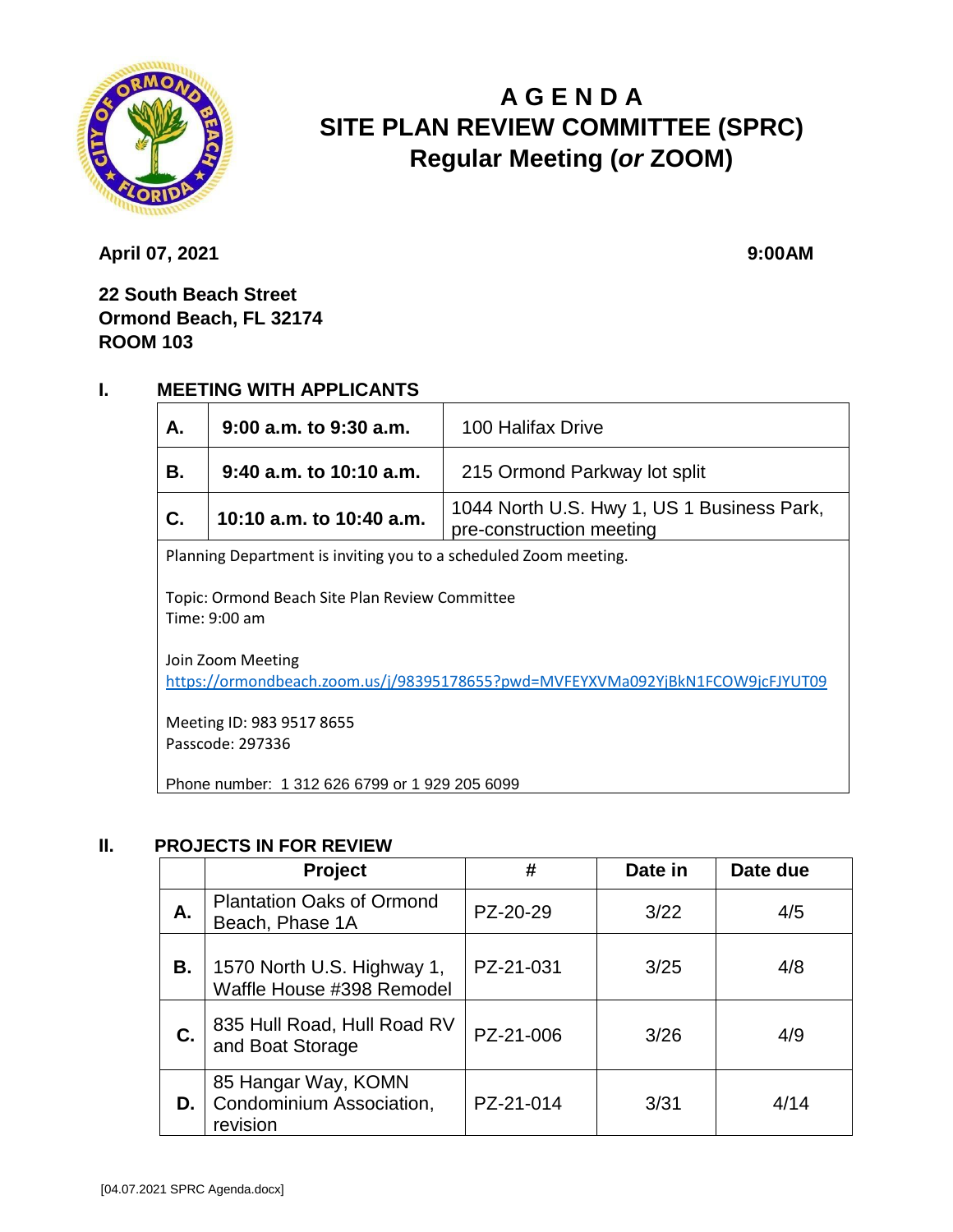

# **A G E N D A SITE PLAN REVIEW COMMITTEE (SPRC) Regular Meeting (***or* **ZOOM)**

**April 07, 2021** 9:00AM

**22 South Beach Street Ormond Beach, FL 32174 ROOM 103**

## **I. MEETING WITH APPLICANTS**

| А.                                                                                                  | $9:00$ a.m. to $9:30$ a.m. | 100 Halifax Drive                                                      |  |  |  |
|-----------------------------------------------------------------------------------------------------|----------------------------|------------------------------------------------------------------------|--|--|--|
| В.                                                                                                  | $9:40$ a.m. to 10:10 a.m.  | 215 Ormond Parkway lot split                                           |  |  |  |
| C.                                                                                                  | 10:10 a.m. to 10:40 a.m.   | 1044 North U.S. Hwy 1, US 1 Business Park,<br>pre-construction meeting |  |  |  |
| Planning Department is inviting you to a scheduled Zoom meeting.                                    |                            |                                                                        |  |  |  |
| Topic: Ormond Beach Site Plan Review Committee<br>Time: 9:00 am                                     |                            |                                                                        |  |  |  |
| Join Zoom Meeting<br>https://ormondbeach.zoom.us/j/98395178655?pwd=MVFEYXVMa092YjBkN1FCOW9jcFJYUT09 |                            |                                                                        |  |  |  |
| Meeting ID: 983 9517 8655<br>Passcode: 297336                                                       |                            |                                                                        |  |  |  |
| Phone number: 1 312 626 6799 or 1 929 205 6099                                                      |                            |                                                                        |  |  |  |

## **II. PROJECTS IN FOR REVIEW**

|    | Project                                                     | #         | Date in | Date due |
|----|-------------------------------------------------------------|-----------|---------|----------|
| А. | <b>Plantation Oaks of Ormond</b><br>Beach, Phase 1A         | PZ-20-29  | 3/22    | 4/5      |
| В. | 1570 North U.S. Highway 1,<br>Waffle House #398 Remodel     | PZ-21-031 | 3/25    | 4/8      |
| C. | 835 Hull Road, Hull Road RV<br>and Boat Storage             | PZ-21-006 | 3/26    | 4/9      |
| D. | 85 Hangar Way, KOMN<br>Condominium Association,<br>revision | PZ-21-014 | 3/31    | 4/14     |